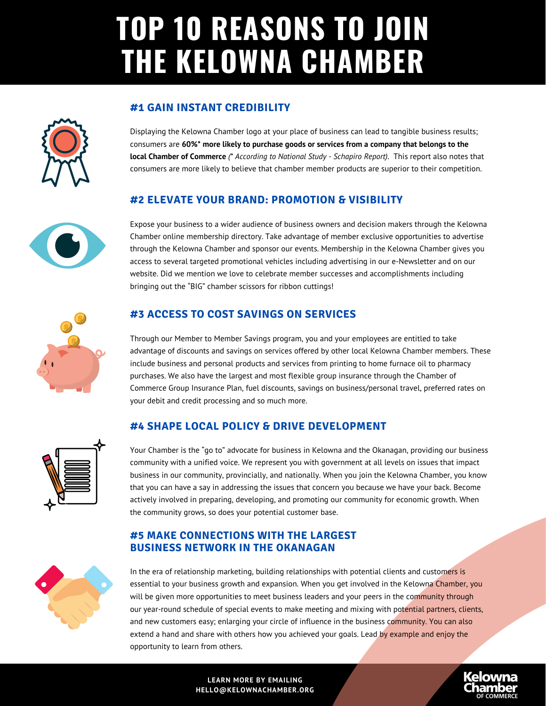# **TOP 10 REASONS TO JOIN THE KELOWNA CHAMBER**



Displaying the Kelowna Chamber logo at your place of business can lead to tangible business results; consumers are **60%\* more likely to purchase goods or services from a company that belongs to the local Chamber of Commerce** *(\* According to National Study - Schapiro Report)*. This report also notes that consumers are more likely to believe that chamber member products are superior to their competition.

# **#2 ELEVATE YOUR BRAND: PROMOTION & VISIBILITY**

Expose your business to a wider audience of business owners and decision makers through the Kelowna Chamber online membership directory. Take advantage of member exclusive opportunities to advertise through the Kelowna Chamber and sponsor our events. Membership in the Kelowna Chamber gives you access to several targeted promotional vehicles including advertising in our e-Newsletter and on our website. Did we mention we love to celebrate member successes and accomplishments including bringing out the "BIG" chamber scissors for ribbon cuttings!

# **#3 ACCESS TO COST SAVINGS ON SERVICES**

Through our Member to Member Savings program, you and your employees are entitled to take advantage of discounts and savings on services offered by other local Kelowna Chamber members. These include business and personal products and services from printing to home furnace oil to pharmacy purchases. We also have the largest and most flexible group insurance through the Chamber of Commerce Group Insurance Plan, fuel discounts, savings on business/personal travel, preferred rates on your debit and credit processing and so much more.

### **#4 SHAPE LOCAL POLICY & DRIVE DEVELOPMENT**

Your Chamber is the "go to" advocate for business in Kelowna and the Okanagan, providing our business community with a unified voice. We represent you with government at all levels on issues that impact business in our community, provincially, and nationally. When you join the Kelowna Chamber, you know that you can have a say in addressing the issues that concern you because we have your back. Become actively involved in preparing, developing, and promoting our community for economic growth. When the community grows, so does your potential customer base.

### **#5 MAKE CONNECTIONS WITH THE LARGEST BUSINESS NETWORK IN THE OKANAGAN**

In the era of relationship marketing, building relationships with potential clients and customers is essential to your business growth and expansion. When you get involved in the Kelowna Chamber, you will be given more opportunities to meet business leaders and your peers in the community through our year-round schedule of special events to make meeting and mixing with potential partners, clients, and new customers easy; enlarging your circle of influence in the business community. You can also extend a hand and share with others how you achieved your goals. Lead by example and enjoy the opportunity to learn from others.

#### **LEARN MORE BY EMAILING HELLO@KELOWNACHAMBER.ORG**